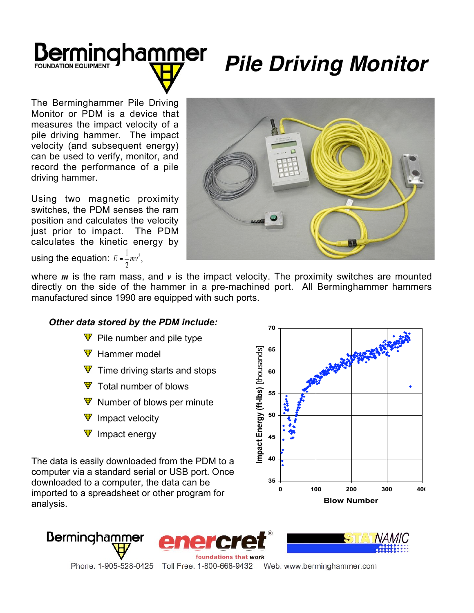## mingha<u>mm</u>er **FOUNDATION FOUIPMENT**

## *Pile Driving Monitor*

The Berminghammer Pile Driving Monitor or PDM is a device that measures the impact velocity of a pile driving hammer. The impact velocity (and subsequent energy) can be used to verify, monitor, and record the performance of a pile driving hammer.

Using two magnetic proximity switches, the PDM senses the ram position and calculates the velocity just prior to impact. The PDM calculates the kinetic energy by



using the equation:  $E = \frac{1}{2}mv^2$ , 2  $E = \frac{1}{2}mv^2$ 

where *m* is the ram mass, and *v* is the impact velocity. The proximity switches are mounted directly on the side of the hammer in a pre-machined port. All Berminghammer hammers manufactured since 1990 are equipped with such ports.

## *Other data stored by the PDM include:*

- $\Psi$  Pile number and pile type
- $\Psi$  Hammer model
- $\Psi$  Time driving starts and stops
- $\Psi$  Total number of blows
- $\Psi$  Number of blows per minute
- $\Psi$  Impact velocity
- $\Psi$  Impact energy

The data is easily downloaded from the PDM to a computer via a standard serial or USB port. Once downloaded to a computer, the data can be imported to a spreadsheet or other program for analysis.